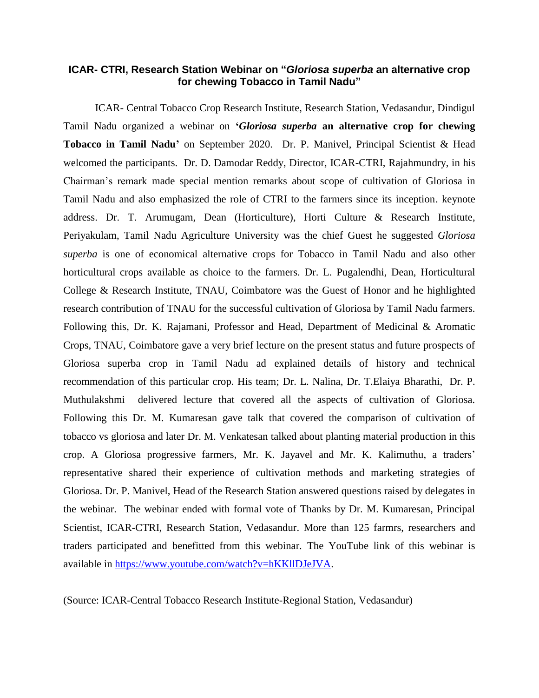## **ICAR- CTRI, Research Station Webinar on "***Gloriosa superba* **an alternative crop for chewing Tobacco in Tamil Nadu"**

ICAR- Central Tobacco Crop Research Institute, Research Station, Vedasandur, Dindigul Tamil Nadu organized a webinar on **'***Gloriosa superba* **an alternative crop for chewing Tobacco in Tamil Nadu'** on September 2020. Dr. P. Manivel, Principal Scientist & Head welcomed the participants. Dr. D. Damodar Reddy, Director, ICAR-CTRI, Rajahmundry, in his Chairman's remark made special mention remarks about scope of cultivation of Gloriosa in Tamil Nadu and also emphasized the role of CTRI to the farmers since its inception. keynote address. Dr. T. Arumugam, Dean (Horticulture), Horti Culture & Research Institute, Periyakulam, Tamil Nadu Agriculture University was the chief Guest he suggested *Gloriosa superba* is one of economical alternative crops for Tobacco in Tamil Nadu and also other horticultural crops available as choice to the farmers. Dr. L. Pugalendhi, Dean, Horticultural College & Research Institute, TNAU, Coimbatore was the Guest of Honor and he highlighted research contribution of TNAU for the successful cultivation of Gloriosa by Tamil Nadu farmers. Following this, Dr. K. Rajamani, Professor and Head, Department of Medicinal & Aromatic Crops, TNAU, Coimbatore gave a very brief lecture on the present status and future prospects of Gloriosa superba crop in Tamil Nadu ad explained details of history and technical recommendation of this particular crop. His team; Dr. L. Nalina, Dr. T.Elaiya Bharathi, Dr. P. Muthulakshmi delivered lecture that covered all the aspects of cultivation of Gloriosa. Following this Dr. M. Kumaresan gave talk that covered the comparison of cultivation of tobacco vs gloriosa and later Dr. M. Venkatesan talked about planting material production in this crop. A Gloriosa progressive farmers, Mr. K. Jayavel and Mr. K. Kalimuthu, a traders' representative shared their experience of cultivation methods and marketing strategies of Gloriosa. Dr. P. Manivel, Head of the Research Station answered questions raised by delegates in the webinar. The webinar ended with formal vote of Thanks by Dr. M. Kumaresan, Principal Scientist, ICAR-CTRI, Research Station, Vedasandur. More than 125 farmrs, researchers and traders participated and benefitted from this webinar. The YouTube link of this webinar is available in [https://www.youtube.com/watch?v=hKKllDJeJVA.](https://www.youtube.com/watch?v=hKKllDJeJVA)

(Source: ICAR-Central Tobacco Research Institute-Regional Station, Vedasandur)